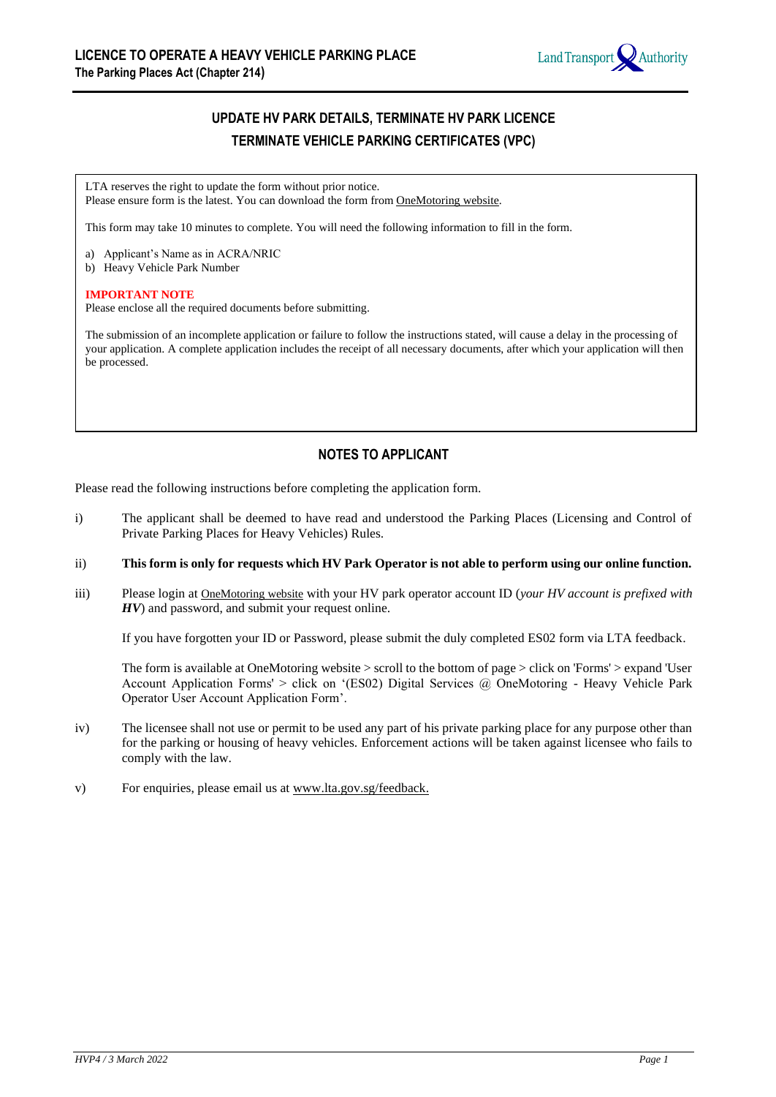

# **UPDATE HV PARK DETAILS, TERMINATE HV PARK LICENCE TERMINATE VEHICLE PARKING CERTIFICATES (VPC)**

LTA reserves the right to update the form without prior notice. Please ensure form is the latest. You can download the form from OneMotoring website.

This form may take 10 minutes to complete. You will need the following information to fill in the form.

a) Applicant's Name as in ACRA/NRIC

b) Heavy Vehicle Park Number

#### **IMPORTANT NOTE**

Please enclose all the required documents before submitting.

The submission of an incomplete application or failure to follow the instructions stated, will cause a delay in the processing of your application. A complete application includes the receipt of all necessary documents, after which your application will then be processed.

# **NOTES TO APPLICANT**

Please read the following instructions before completing the application form.

- i) The applicant shall be deemed to have read and understood the Parking Places (Licensing and Control of Private Parking Places for Heavy Vehicles) Rules.
- ii) **This form is only for requests which HV Park Operator is not able to perform using our online function.**
- iii) Please login at OneMotoring website with your HV park operator account ID (*your HV account is prefixed with HV*) and password, and submit your request online.

If you have forgotten your ID or Password, please submit the duly completed ES02 form via LTA feedback.

The form is available at OneMotoring website > scroll to the bottom of page > click on 'Forms' > expand 'User Account Application Forms' > click on '(ES02) Digital Services @ OneMotoring - Heavy Vehicle Park Operator User Account Application Form'.

- iv) The licensee shall not use or permit to be used any part of his private parking place for any purpose other than for the parking or housing of heavy vehicles. Enforcement actions will be taken against licensee who fails to comply with the law.
- v) For enquiries, please email us at www.lta.gov.sg/feedback.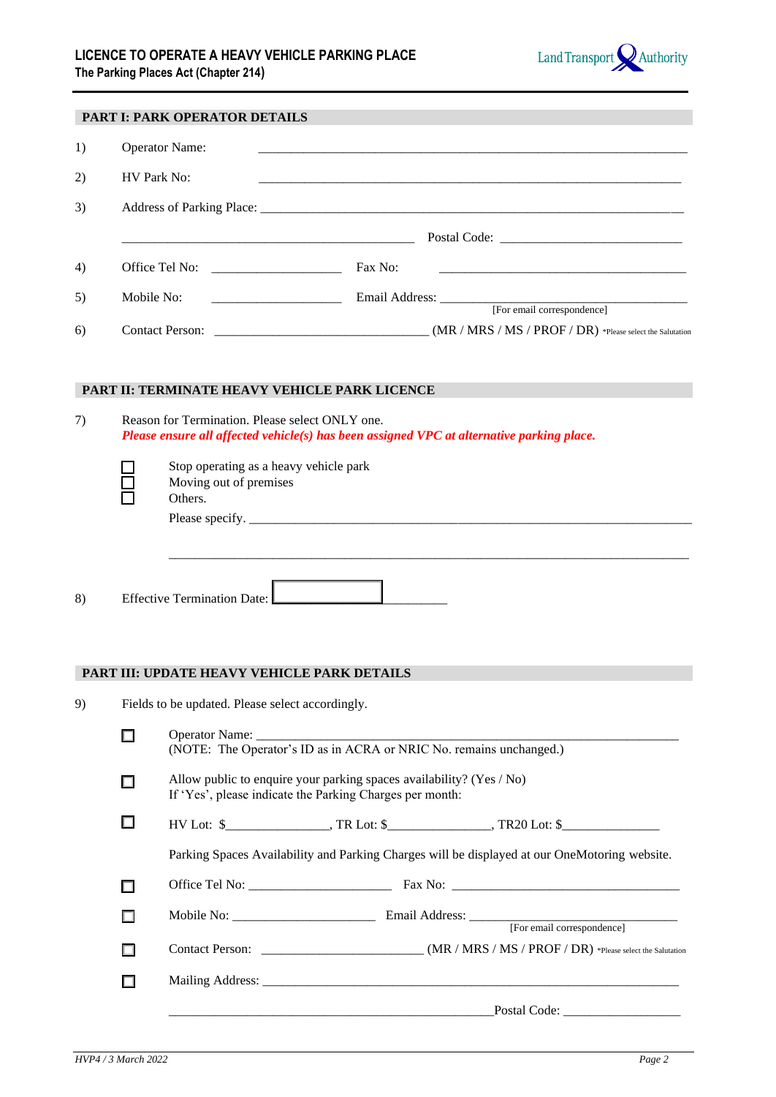

|    |                                                                                               | PART I: PARK OPERATOR DETAILS                                                                                                              |                                                                                           |  |  |  |
|----|-----------------------------------------------------------------------------------------------|--------------------------------------------------------------------------------------------------------------------------------------------|-------------------------------------------------------------------------------------------|--|--|--|
| 1) |                                                                                               | <b>Operator Name:</b>                                                                                                                      |                                                                                           |  |  |  |
| 2) |                                                                                               | <b>HV Park No:</b>                                                                                                                         |                                                                                           |  |  |  |
| 3) |                                                                                               |                                                                                                                                            |                                                                                           |  |  |  |
|    |                                                                                               |                                                                                                                                            |                                                                                           |  |  |  |
| 4) |                                                                                               |                                                                                                                                            |                                                                                           |  |  |  |
| 5) | Mobile No:                                                                                    |                                                                                                                                            | Email Address: [For email correspondence]                                                 |  |  |  |
| 6) |                                                                                               |                                                                                                                                            |                                                                                           |  |  |  |
| 7) |                                                                                               | PART II: TERMINATE HEAVY VEHICLE PARK LICENCE<br>Reason for Termination. Please select ONLY one.<br>Stop operating as a heavy vehicle park | Please ensure all affected vehicle(s) has been assigned VPC at alternative parking place. |  |  |  |
|    |                                                                                               | Moving out of premises<br>Others.                                                                                                          |                                                                                           |  |  |  |
| 8) |                                                                                               | Effective Termination Date:<br>PART III: UPDATE HEAVY VEHICLE PARK DETAILS                                                                 |                                                                                           |  |  |  |
| 9) | Fields to be updated. Please select accordingly.                                              |                                                                                                                                            |                                                                                           |  |  |  |
|    | □                                                                                             |                                                                                                                                            | (NOTE: The Operator's ID as in ACRA or NRIC No. remains unchanged.)                       |  |  |  |
|    | $\Box$                                                                                        | Allow public to enquire your parking spaces availability? (Yes / No)<br>If 'Yes', please indicate the Parking Charges per month:           |                                                                                           |  |  |  |
|    | □                                                                                             |                                                                                                                                            |                                                                                           |  |  |  |
|    | Parking Spaces Availability and Parking Charges will be displayed at our OneMotoring website. |                                                                                                                                            |                                                                                           |  |  |  |
|    | П                                                                                             |                                                                                                                                            |                                                                                           |  |  |  |
|    | П                                                                                             |                                                                                                                                            |                                                                                           |  |  |  |
|    | П                                                                                             |                                                                                                                                            |                                                                                           |  |  |  |
|    | $\Box$                                                                                        |                                                                                                                                            |                                                                                           |  |  |  |
|    |                                                                                               |                                                                                                                                            |                                                                                           |  |  |  |